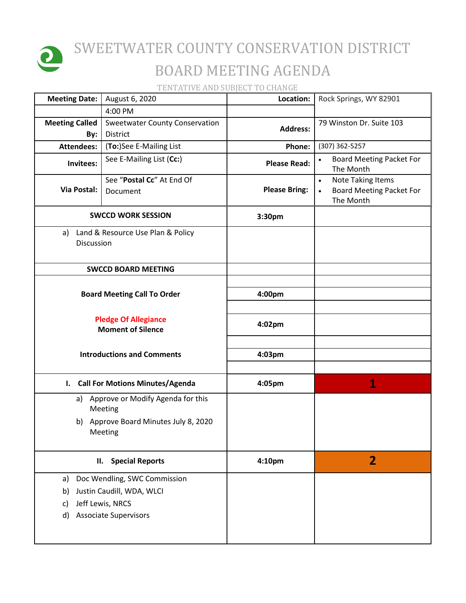

## SWEETWATER COUNTY CONSERVATION DISTRICT BOARD MEETING AGENDA

TENTATIVE AND SUBJECT TO CHANGE

| <b>Meeting Date:</b>         | August 6, 2020                                          | Location:            | Rock Springs, WY 82901                                                                |
|------------------------------|---------------------------------------------------------|----------------------|---------------------------------------------------------------------------------------|
|                              | 4:00 PM                                                 |                      |                                                                                       |
| <b>Meeting Called</b><br>By: | <b>Sweetwater County Conservation</b><br>District       | <b>Address:</b>      | 79 Winston Dr. Suite 103                                                              |
| <b>Attendees:</b>            | (To:)See E-Mailing List                                 | Phone:               | (307) 362-5257                                                                        |
| Invitees:                    | See E-Mailing List (Cc:)                                | <b>Please Read:</b>  | <b>Board Meeting Packet For</b><br>$\bullet$<br>The Month                             |
| Via Postal:                  | See "Postal Cc" At End Of<br>Document                   | <b>Please Bring:</b> | <b>Note Taking Items</b><br>$\bullet$<br><b>Board Meeting Packet For</b><br>The Month |
|                              | <b>SWCCD WORK SESSION</b>                               | 3:30pm               |                                                                                       |
| a)<br>Discussion             | Land & Resource Use Plan & Policy                       |                      |                                                                                       |
|                              | <b>SWCCD BOARD MEETING</b>                              |                      |                                                                                       |
|                              |                                                         |                      |                                                                                       |
|                              | <b>Board Meeting Call To Order</b>                      | 4:00pm               |                                                                                       |
|                              | <b>Pledge Of Allegiance</b><br><b>Moment of Silence</b> | 4:02pm               |                                                                                       |
|                              | <b>Introductions and Comments</b>                       | 4:03pm               |                                                                                       |
| I.                           | <b>Call For Motions Minutes/Agenda</b>                  | 4:05pm               | 1                                                                                     |
| a)                           | Approve or Modify Agenda for this<br>Meeting            |                      |                                                                                       |
| b)                           | Approve Board Minutes July 8, 2020<br>Meeting           |                      |                                                                                       |
|                              | <b>Special Reports</b><br>II.                           | 4:10pm               | $\overline{2}$                                                                        |
| a)                           | Doc Wendling, SWC Commission                            |                      |                                                                                       |
| b)                           | Justin Caudill, WDA, WLCI                               |                      |                                                                                       |
| c)                           | Jeff Lewis, NRCS                                        |                      |                                                                                       |
| d)                           | <b>Associate Supervisors</b>                            |                      |                                                                                       |
|                              |                                                         |                      |                                                                                       |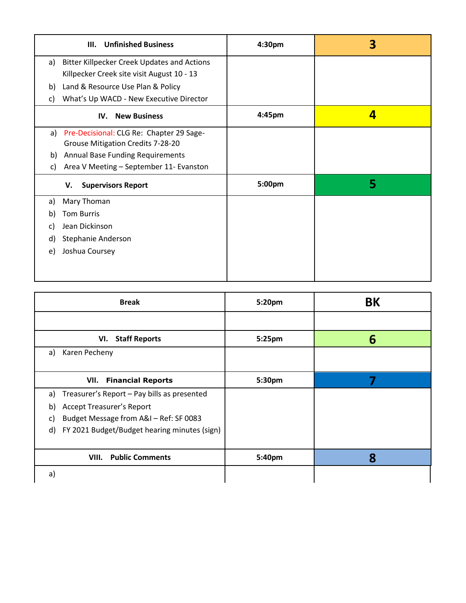| <b>Unfinished Business</b><br>III.                                                                     | 4:30pm | З |
|--------------------------------------------------------------------------------------------------------|--------|---|
| <b>Bitter Killpecker Creek Updates and Actions</b><br>a)<br>Killpecker Creek site visit August 10 - 13 |        |   |
|                                                                                                        |        |   |
| Land & Resource Use Plan & Policy<br>b)<br>What's Up WACD - New Executive Director<br>C)               |        |   |
|                                                                                                        |        |   |
| <b>New Business</b><br>IV.                                                                             | 4:45pm | 4 |
| Pre-Decisional: CLG Re: Chapter 29 Sage-<br>a)                                                         |        |   |
| Grouse Mitigation Credits 7-28-20                                                                      |        |   |
| <b>Annual Base Funding Requirements</b><br>b)                                                          |        |   |
| Area V Meeting - September 11- Evanston<br>C)                                                          |        |   |
| <b>Supervisors Report</b><br>V.                                                                        | 5:00pm | 5 |
| Mary Thoman<br>a)                                                                                      |        |   |
| <b>Tom Burris</b><br>b)                                                                                |        |   |
| Jean Dickinson<br>C)                                                                                   |        |   |
| Stephanie Anderson<br>d)                                                                               |        |   |
| Joshua Coursey<br>e)                                                                                   |        |   |
|                                                                                                        |        |   |
|                                                                                                        |        |   |

| <b>Break</b>                                      | 5:20pm | BK |
|---------------------------------------------------|--------|----|
|                                                   |        |    |
| <b>Staff Reports</b><br>VI.                       | 5:25pm | 6  |
| Karen Pecheny<br>a)                               |        |    |
|                                                   |        |    |
| <b>VII.</b> Financial Reports                     | 5:30pm |    |
| Treasurer's Report - Pay bills as presented<br>a) |        |    |
| <b>Accept Treasurer's Report</b><br>b)            |        |    |
| Budget Message from A&I - Ref: SF 0083<br>C)      |        |    |
| d) FY 2021 Budget/Budget hearing minutes (sign)   |        |    |
|                                                   |        |    |
| <b>Public Comments</b><br>VIII.                   | 5:40pm | 8  |
| a)                                                |        |    |